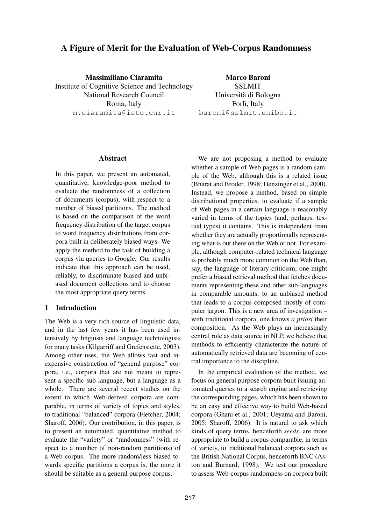# A Figure of Merit for the Evaluation of Web-Corpus Randomness

Massimiliano Ciaramita Institute of Cognitive Science and Technology National Research Council Roma, Italy m.ciaramita@istc.cnr.it

Marco Baroni SSLMIT Universita di Bologna ` Forlì, Italy baroni@sslmit.unibo.it

### Abstract

In this paper, we present an automated, quantitative, knowledge-poor method to evaluate the randomness of a collection of documents (corpus), with respect to a number of biased partitions. The method is based on the comparison of the word frequency distribution of the target corpus to word frequency distributions from corpora built in deliberately biased ways. We apply the method to the task of building a corpus via queries to Google. Our results indicate that this approach can be used, reliably, to discriminate biased and unbiased document collections and to choose the most appropriate query terms.

# 1 Introduction

The Web is a very rich source of linguistic data, and in the last few years it has been used intensively by linguists and language technologists for many tasks (Kilgarriff and Grefenstette, 2003). Among other uses, the Web allows fast and inexpensive construction of "general purpose" corpora, i.e., corpora that are not meant to represent a specific sub-language, but a language as a whole. There are several recent studies on the extent to which Web-derived corpora are comparable, in terms of variety of topics and styles, to traditional "balanced" corpora (Fletcher, 2004; Sharoff, 2006). Our contribution, in this paper, is to present an automated, quantitative method to evaluate the "variety" or "randomness" (with respect to a number of non-random partitions) of a Web corpus. The more random/less-biased towards specific partitions a corpus is, the more it should be suitable as a general purpose corpus.

We are not proposing a method to evaluate whether a sample of Web pages is a random sample of the Web, although this is a related issue (Bharat and Broder, 1998; Henzinger et al., 2000). Instead, we propose a method, based on simple distributional properties, to evaluate if a sample of Web pages in a certain language is reasonably varied in terms of the topics (and, perhaps, textual types) it contains. This is independent from whether they are actually proportionally representing what is out there on the Web or not. For example, although computer-related technical language is probably much more common on the Web than, say, the language of literary criticism, one might prefer a biased retrieval method that fetches documents representing these and other sub-languages in comparable amounts, to an unbiased method that leads to a corpus composed mostly of computer jargon. This is a new area of investigation – with traditional corpora, one knows *a priori* their composition. As the Web plays an increasingly central role as data source in NLP, we believe that methods to efficiently characterize the nature of automatically retrieved data are becoming of central importance to the discipline.

In the empirical evaluation of the method, we focus on general purpose corpora built issuing automated queries to a search engine and retrieving the corresponding pages, which has been shown to be an easy and effective way to build Web-based corpora (Ghani et al., 2001; Ueyama and Baroni, 2005; Sharoff, 2006). It is natural to ask which kinds of query terms, henceforth *seeds*, are more appropriate to build a corpus comparable, in terms of variety, to traditional balanced corpora such as the British National Corpus, henceforth BNC (Aston and Burnard, 1998). We test our procedure to assess Web-corpus randomness on corpora built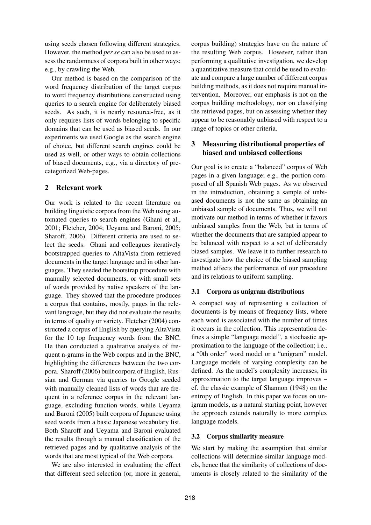using seeds chosen following different strategies. However, the method *per se* can also be used to assess the randomness of corpora built in other ways; e.g., by crawling the Web.

Our method is based on the comparison of the word frequency distribution of the target corpus to word frequency distributions constructed using queries to a search engine for deliberately biased seeds. As such, it is nearly resource-free, as it only requires lists of words belonging to specific domains that can be used as biased seeds. In our experiments we used Google as the search engine of choice, but different search engines could be used as well, or other ways to obtain collections of biased documents, e.g., via a directory of precategorized Web-pages.

# 2 Relevant work

Our work is related to the recent literature on building linguistic corpora from the Web using automated queries to search engines (Ghani et al., 2001; Fletcher, 2004; Ueyama and Baroni, 2005; Sharoff, 2006). Different criteria are used to select the seeds. Ghani and colleagues iteratively bootstrapped queries to AltaVista from retrieved documents in the target language and in other languages. They seeded the bootstrap procedure with manually selected documents, or with small sets of words provided by native speakers of the language. They showed that the procedure produces a corpus that contains, mostly, pages in the relevant language, but they did not evaluate the results in terms of quality or variety. Fletcher (2004) constructed a corpus of English by querying AltaVista for the 10 top frequency words from the BNC. He then conducted a qualitative analysis of frequent n-grams in the Web corpus and in the BNC, highlighting the differences between the two corpora. Sharoff (2006) built corpora of English, Russian and German via queries to Google seeded with manually cleaned lists of words that are frequent in a reference corpus in the relevant language, excluding function words, while Ueyama and Baroni (2005) built corpora of Japanese using seed words from a basic Japanese vocabulary list. Both Sharoff and Ueyama and Baroni evaluated the results through a manual classification of the retrieved pages and by qualitative analysis of the words that are most typical of the Web corpora.

We are also interested in evaluating the effect that different seed selection (or, more in general, corpus building) strategies have on the nature of the resulting Web corpus. However, rather than performing a qualitative investigation, we develop a quantitative measure that could be used to evaluate and compare a large number of different corpus building methods, as it does not require manual intervention. Moreover, our emphasis is not on the corpus building methodology, nor on classifying the retrieved pages, but on assessing whether they appear to be reasonably unbiased with respect to a range of topics or other criteria.

# 3 Measuring distributional properties of biased and unbiased collections

Our goal is to create a "balanced" corpus of Web pages in a given language; e.g., the portion composed of all Spanish Web pages. As we observed in the introduction, obtaining a sample of unbiased documents is not the same as obtaining an unbiased sample of documents. Thus, we will not motivate our method in terms of whether it favors unbiased samples from the Web, but in terms of whether the documents that are sampled appear to be balanced with respect to a set of deliberately biased samples. We leave it to further research to investigate how the choice of the biased sampling method affects the performance of our procedure and its relations to uniform sampling.

# 3.1 Corpora as unigram distributions

A compact way of representing a collection of documents is by means of frequency lists, where each word is associated with the number of times it occurs in the collection. This representation defines a simple "language model", a stochastic approximation to the language of the collection; i.e., a "0th order" word model or a "unigram" model. Language models of varying complexity can be defined. As the model's complexity increases, its approximation to the target language improves – cf. the classic example of Shannon (1948) on the entropy of English. In this paper we focus on unigram models, as a natural starting point, however the approach extends naturally to more complex language models.

# 3.2 Corpus similarity measure

We start by making the assumption that similar collections will determine similar language models, hence that the similarity of collections of documents is closely related to the similarity of the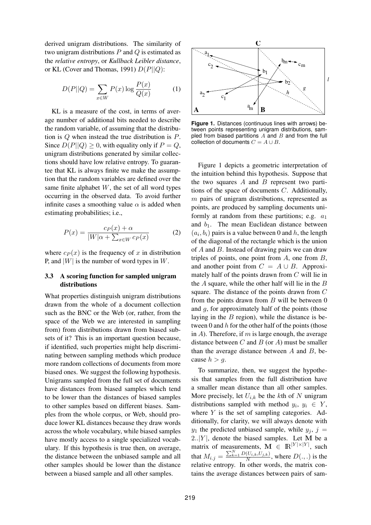derived unigram distributions. The similarity of two unigram distributions  $P$  and  $Q$  is estimated as the *relative entropy*, or *Kullback Leibler distance*, or KL (Cover and Thomas, 1991)  $D(P||Q)$ :

$$
D(P||Q) = \sum_{x \in W} P(x) \log \frac{P(x)}{Q(x)} \tag{1}
$$

KL is a measure of the cost, in terms of average number of additional bits needed to describe the random variable, of assuming that the distribution is Q when instead the true distribution is P. Since  $D(P||Q) \geq 0$ , with equality only if  $P = Q$ , unigram distributions generated by similar collections should have low relative entropy. To guarantee that KL is always finite we make the assumption that the random variables are defined over the same finite alphabet  $W$ , the set of all word types occurring in the observed data. To avoid further infinite cases a smoothing value  $\alpha$  is added when estimating probabilities; i.e.,

$$
P(x) = \frac{c_P(x) + \alpha}{|W|\alpha + \sum_{x \in W} c_P(x)}\tag{2}
$$

where  $c_P(x)$  is the frequency of x in distribution P, and  $|W|$  is the number of word types in W.

# 3.3 A scoring function for sampled unigram distributions

What properties distinguish unigram distributions drawn from the whole of a document collection such as the BNC or the Web (or, rather, from the space of the Web we are interested in sampling from) from distributions drawn from biased subsets of it? This is an important question because, if identified, such properties might help discriminating between sampling methods which produce more random collections of documents from more biased ones. We suggest the following hypothesis. Unigrams sampled from the full set of documents have distances from biased samples which tend to be lower than the distances of biased samples to other samples based on different biases. Samples from the whole corpus, or Web, should produce lower KL distances because they draw words across the whole vocabulary, while biased samples have mostly access to a single specialized vocabulary. If this hypothesis is true then, on average, the distance between the unbiased sample and all other samples should be lower than the distance between a biased sample and all other samples.



**Figure 1.** Distances (continuous lines with arrows) between points representing unigram distributions, sampled from biased partitions  $A$  and  $B$  and from the full collection of documents  $C = A \cup B$ .

Figure 1 depicts a geometric interpretation of the intuition behind this hypothesis. Suppose that the two squares  $A$  and  $B$  represent two partitions of the space of documents C. Additionally,  $m$  pairs of unigram distributions, represented as points, are produced by sampling documents uniformly at random from these partitions; e.g.  $a_1$ and  $b_1$ . The mean Euclidean distance between  $(a_i, b_i)$  pairs is a value between 0 and h, the length of the diagonal of the rectangle which is the union of A and B. Instead of drawing pairs we can draw triples of points, one point from  $A$ , one from  $B$ , and another point from  $C = A \cup B$ . Approximately half of the points drawn from  $C$  will lie in the  $A$  square, while the other half will lie in the  $B$ square. The distance of the points drawn from C from the points drawn from  $B$  will be between  $0$ and g, for approximately half of the points (those laying in the  $B$  region), while the distance is between 0 and  $h$  for the other half of the points (those in  $A$ ). Therefore, if m is large enough, the average distance between  $C$  and  $B$  (or  $A$ ) must be smaller than the average distance between  $A$  and  $B$ , because  $h > g$ .

To summarize, then, we suggest the hypothesis that samples from the full distribution have a smaller mean distance than all other samples. More precisely, let  $U_{i,k}$  be the kth of N unigram distributions sampled with method  $y_i, y_i \in Y$ , where  $Y$  is the set of sampling categories. Additionally, for clarity, we will always denote with  $y_1$  the predicted unbiased sample, while  $y_i$ ,  $j =$  $2..|Y|$ , denote the biased samples. Let M be a matrix of measurements,  $\mathbf{M} \in \mathbb{R}^{|Y| \times |Y|}$ , such that  $M_{i,j} = \frac{\sum_{k=1}^{N} D(U_{i,k}, U_{j,k})}{N}$ , where  $D(.,.)$  is the relative entropy. In other words, the matrix contains the average distances between pairs of sam-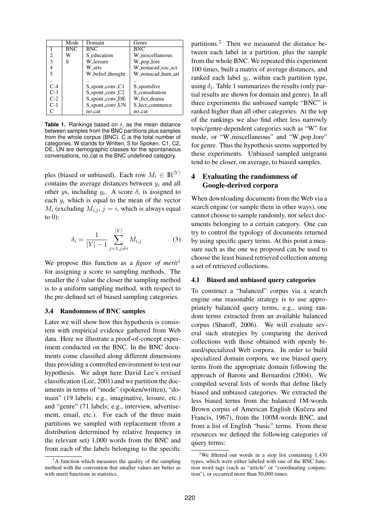|                | Mode       | Domain           | Genre             |
|----------------|------------|------------------|-------------------|
|                | <b>BNC</b> | <b>BNC</b>       | <b>BNC</b>        |
| $\mathfrak{D}$ | w          | S_education      | W_miscellaneous   |
| 3              | S          | W leisure        | W_pop_lore        |
|                |            | W_arts           | W_nonacad_soc_sci |
| 5              |            | W_belief_thought | W_nonacad_hum_art |
|                |            |                  |                   |
| $C-4$          |            | S_spont_conv_C1  | S_sportslive      |
| $C-3$          |            | S_spont_conv_C2  | S_consultation    |
| $C-2$          |            | S_spont_conv_DE  | W_fict_drama      |
| $C-1$          |            | S_spont_conv_UN  | S_lect_commerce   |
|                |            | no_cat           | no_cat            |

**Table 1.** Rankings based on  $\delta$ , as the mean distance between samples from the BNC partitions plus samples from the whole corpus (BNC). C is the total number of categories. W stands for Written, S for Spoken. C1, C2, DE, UN are demographic classes for the spontaneous conversations, no cat is the BNC undefined category.

ples (biased or unbiased). Each row  $M_i \in \mathbb{R}^{|Y|}$ contains the average distances between  $y_i$  and all other ys, including  $y_i$ . A score  $\delta_i$  is assigned to each  $y_i$  which is equal to the mean of the vector  $M_i$  (excluding  $M_{i,j}$ ,  $j = i$ , which is always equal to  $(0)$ :

$$
\delta_i = \frac{1}{|Y| - 1} \sum_{j=1, j \neq i}^{|Y|} M_{i,j} \tag{3}
$$

We propose this function as a *figure of merit*<sup>1</sup> for assigning a score to sampling methods. The smaller the  $\delta$  value the closer the sampling method is to a uniform sampling method, with respect to the pre-defined set of biased sampling categories.

#### 3.4 Randomness of BNC samples

Later we will show how this hypothesis is consistent with empirical evidence gathered from Web data. Here we illustrate a proof-of-concept experiment conducted on the BNC. In the BNC documents come classified along different dimensions thus providing a controlled environment to test our hypothesis. We adopt here David Lee's revised classification (Lee, 2001) and we partition the documents in terms of "mode" (spoken/written), "domain" (19 labels; e.g., imaginative, leisure, etc.) and "genre" (71 labels; e.g., interview, advertisement, email, etc.). For each of the three main partitions we sampled with replacement (from a distribution determined by relative frequency in the relevant set) 1,000 words from the BNC and from each of the labels belonging to the specific partitions.<sup>2</sup> Then we measured the distance between each label in a partition, plus the sample from the whole BNC. We repeated this experiment 100 times, built a matrix of average distances, and ranked each label  $y_i$ , within each partition type, using  $\delta_i$ . Table 1 summarizes the results (only partial results are shown for domain and genre). In all three experiments the unbiased sample "BNC" is ranked higher than all other categories. At the top of the rankings we also find other less narrowly topic/genre-dependent categories such as "W" for mode, or "W\_miscellaneous" and "W\_pop\_lore" for genre. Thus the hypothesis seems supported by these experiments. Unbiased sampled unigrams tend to be closer, on average, to biased samples.

# 4 Evaluating the randomness of Google-derived corpora

When downloading documents from the Web via a search engine (or sample them in other ways), one cannot choose to sample randomly, nor select documents belonging to a certain category. One can try to control the typology of documents returned by using specific query terms. At this point a measure such as the one we proposed can be used to choose the least biased retrieved collection among a set of retrieved collections.

### 4.1 Biased and unbiased query categories

To construct a "balanced" corpus via a search engine one reasonable strategy is to use appropriately balanced query terms, e.g., using random terms extracted from an available balanced corpus (Sharoff, 2006). We will evaluate several such strategies by comparing the derived collections with those obtained with openly biased/specialized Web corpora. In order to build specialized domain corpora, we use biased query terms from the appropriate domain following the approach of Baroni and Bernardini (2004). We compiled several lists of words that define likely biased and unbiased categories. We extracted the less biased terms from the balanced 1M-words Brown corpus of American English (Kučera and Francis, 1967), from the 100M-words BNC, and from a list of English "basic" terms. From these resources we defined the following categories of query terms:

 ${}^{1}$ A function which measures the quality of the sampling method with the convention that smaller values are better as with merit functions in statistics.

<sup>&</sup>lt;sup>2</sup>We filtered out words in a stop list containing  $1,430$ types, which were either labeled with one of the BNC function word tags (such as "article" or "coordinating conjunction"), or occurred more than 50,000 times.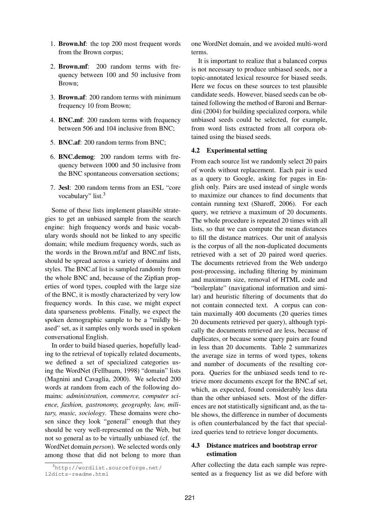- 1. Brown.hf: the top 200 most frequent words from the Brown corpus;
- 2. Brown.mf: 200 random terms with frequency between 100 and 50 inclusive from Brown;
- 3. Brown.af: 200 random terms with minimum frequency 10 from Brown;
- 4. BNC.mf: 200 random terms with frequency between 506 and 104 inclusive from BNC;
- 5. BNC.af: 200 random terms from BNC;
- 6. BNC.demog: 200 random terms with frequency between 1000 and 50 inclusive from the BNC spontaneous conversation sections;
- 7. 3esl: 200 random terms from an ESL "core vocabulary" list.<sup>3</sup>

Some of these lists implement plausible strategies to get an unbiased sample from the search engine: high frequency words and basic vocabulary words should not be linked to any specific domain; while medium frequency words, such as the words in the Brown.mf/af and BNC.mf lists, should be spread across a variety of domains and styles. The BNC.af list is sampled randomly from the whole BNC and, because of the Zipfian properties of word types, coupled with the large size of the BNC, it is mostly characterized by very low frequency words. In this case, we might expect data sparseness problems. Finally, we expect the spoken demographic sample to be a "mildly biased" set, as it samples only words used in spoken conversational English.

In order to build biased queries, hopefully leading to the retrieval of topically related documents, we defined a set of specialized categories using the WordNet (Fellbaum, 1998) "domain" lists (Magnini and Cavaglia, 2000). We selected 200 words at random from each of the following domains: *administration, commerce, computer science, fashion, gastronomy, geography, law, military, music, sociology*. These domains were chosen since they look "general" enough that they should be very well-represented on the Web, but not so general as to be virtually unbiased (cf. the WordNet domain *person*). We selected words only among those that did not belong to more than one WordNet domain, and we avoided multi-word terms.

It is important to realize that a balanced corpus is not necessary to produce unbiased seeds, nor a topic-annotated lexical resource for biased seeds. Here we focus on these sources to test plausible candidate seeds. However, biased seeds can be obtained following the method of Baroni and Bernardini (2004) for building specialized corpora, while unbiased seeds could be selected, for example, from word lists extracted from all corpora obtained using the biased seeds.

# 4.2 Experimental setting

From each source list we randomly select 20 pairs of words without replacement. Each pair is used as a query to Google, asking for pages in English only. Pairs are used instead of single words to maximize our chances to find documents that contain running text (Sharoff, 2006). For each query, we retrieve a maximum of 20 documents. The whole procedure is repeated 20 times with all lists, so that we can compute the mean distances to fill the distance matrices. Our unit of analysis is the corpus of all the non-duplicated documents retrieved with a set of 20 paired word queries. The documents retrieved from the Web undergo post-processing, including filtering by minimum and maximum size, removal of HTML code and "boilerplate" (navigational information and similar) and heuristic filtering of documents that do not contain connected text. A corpus can contain maximally 400 documents (20 queries times 20 documents retrieved per query), although typically the documents retrieved are less, because of duplicates, or because some query pairs are found in less than 20 documents. Table 2 summarizes the average size in terms of word types, tokens and number of documents of the resulting corpora. Queries for the unbiased seeds tend to retrieve more documents except for the BNC.af set, which, as expected, found considerably less data than the other unbiased sets. Most of the differences are not statistically significant and, as the table shows, the difference in number of documents is often counterbalanced by the fact that specialized queries tend to retrieve longer documents.

# 4.3 Distance matrices and bootstrap error estimation

After collecting the data each sample was represented as a frequency list as we did before with

 $3$ http://wordlist.sourceforge.net/ 12dicts-readme.html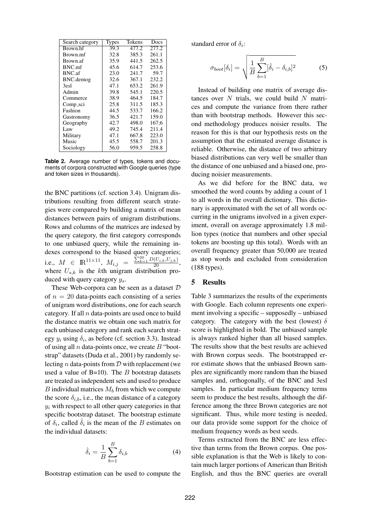| Search category | Types | Tokens | Docs  |
|-----------------|-------|--------|-------|
| Brown hf        | 39.3  | 477.2  | 277.2 |
| Brown.mf        | 32.8  | 385.3  | 261.1 |
| Brown.af        | 35.9  | 441.5  | 262.5 |
| BNC.mf          | 45.6  | 614.7  | 253.6 |
| BNC.af          | 23.0  | 241.7  | 59.7  |
| BNC.demog       | 32.6  | 367.1  | 232.2 |
| 3esl            | 47.1  | 653.2  | 261.9 |
| Admin           | 39.8  | 545.1  | 220.5 |
| Commerce        | 38.9  | 464.5  | 184.7 |
| Comp_sci        | 25.8  | 311.5  | 185.3 |
| Fashion         | 44.5  | 533.7  | 166.2 |
| Gastronomy      | 36.5  | 421.7  | 159.0 |
| Geography       | 42.7  | 498.0  | 167:6 |
| Law             | 49.2  | 745.4  | 211.4 |
| Military        | 47.1  | 667.8  | 223.0 |
| Music           | 45.5  | 558.7  | 201.3 |
| Sociology       | 56.0  | 959.5  | 258.8 |

**Table 2.** Average number of types, tokens and documents of corpora constructed with Google queries (type and token sizes in thousands).

the BNC partitions (cf. section 3.4). Unigram distributions resulting from different search strategies were compared by building a matrix of mean distances between pairs of unigram distributions. Rows and columns of the matrices are indexed by the query category, the first category corresponds to one unbiased query, while the remaining indexes correspond to the biased query categories; i.e.,  $M \in \mathbb{R}^{11 \times 11}$ ,  $M_{i,j} = \frac{\sum_{k=1}^{20} D(U_{i,k}, U_{j,k})}{20}$ , where  $U_{s,k}$  is the kth unigram distribution produced with query category  $y_s$ .

These Web-corpora can be seen as a dataset  $D$ of  $n = 20$  data-points each consisting of a series of unigram word distributions, one for each search category. If all  $n$  data-points are used once to build the distance matrix we obtain one such matrix for each unbiased category and rank each search strategy  $y_i$  using  $\delta_i$ , as before (cf. section 3.3). Instead of using all  $n$  data-points once, we create  $B$  "bootstrap" datasets (Duda et al., 2001) by randomly selecting *n* data-points from  $D$  with replacement (we used a value of  $B=10$ ). The B bootstrap datasets are treated as independent sets and used to produce  $B$  individual matrices  $M_b$  from which we compute the score  $\delta_{i,b}$ , i.e., the mean distance of a category  $y_i$  with respect to all other query categories in that specific bootstrap dataset. The bootstrap estimate of  $\delta_i$ , called  $\hat{\delta}_i$  is the mean of the B estimates on the individual datasets:

$$
\hat{\delta}_i = \frac{1}{B} \sum_{b=1}^{B} \delta_{i,b} \tag{4}
$$

Bootstrap estimation can be used to compute the

standard error of  $\delta_i$ :

$$
\sigma_{boot}[\delta_i] = \sqrt{\frac{1}{B} \sum_{b=1}^{B} [\hat{\delta}_i - \delta_{i,b}]^2}
$$
 (5)

Instead of building one matrix of average distances over  $N$  trials, we could build  $N$  matrices and compute the variance from there rather than with bootstrap methods. However this second methodology produces noisier results. The reason for this is that our hypothesis rests on the assumption that the estimated average distance is reliable. Otherwise, the distance of two arbitrary biased distributions can very well be smaller than the distance of one unbiased and a biased one, producing noisier measurements.

As we did before for the BNC data, we smoothed the word counts by adding a count of 1 to all words in the overall dictionary. This dictionary is approximated with the set of all words occurring in the unigrams involved in a given experiment, overall on average approximately 1.8 million types (notice that numbers and other special tokens are boosting up this total). Words with an overall frequency greater than 50,000 are treated as stop words and excluded from consideration (188 types).

### 5 Results

Table 3 summarizes the results of the experiments with Google. Each column represents one experiment involving a specific – supposedly – unbiased category. The category with the best (lowest)  $\delta$ score is highlighted in bold. The unbiased sample is always ranked higher than all biased samples. The results show that the best results are achieved with Brown corpus seeds. The bootstrapped error estimate shows that the unbiased Brown samples are significantly more random than the biased samples and, orthogonally, of the BNC and 3esl samples. In particular medium frequency terms seem to produce the best results, although the difference among the three Brown categories are not significant. Thus, while more testing is needed, our data provide some support for the choice of medium frequency words as best seeds.

Terms extracted from the BNC are less effective than terms from the Brown corpus. One possible explanation is that the Web is likely to contain much larger portions of American than British English, and thus the BNC queries are overall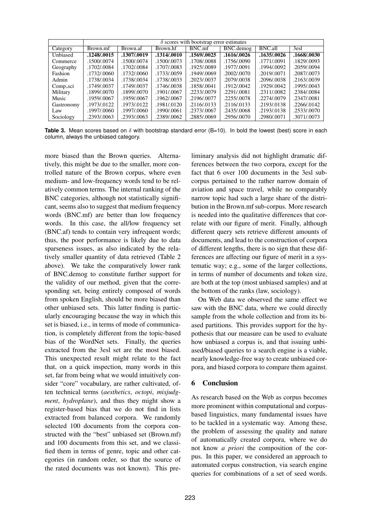|            | $\delta$ scores with bootstrap error estimates |             |                         |             |             |             |              |  |  |
|------------|------------------------------------------------|-------------|-------------------------|-------------|-------------|-------------|--------------|--|--|
| Category   | Brown.mf                                       | Brown.af    | Brown.hf                | BNC.mf      | BNC.demog   | BNC.all     | 3esl         |  |  |
| Unbiased   | .1248/0.0015                                   | .1307/.0019 | $\overline{.1314/0010}$ | .1569/0025  | .1616/.0026 | .1635/0026  | .1668/.0030  |  |  |
| Commerce   | .1500/.0074                                    | .1500/.0074 | .1500/.0073             | .1708/.0088 | .1756/.0090 | .1771/.0091 | .1829/.0093  |  |  |
| Geography  | .1702/.0084                                    | .1702/.0084 | .1707/.0083             | .1925/.0089 | .1977/.0091 | .1994/.0092 | .2059/.0094  |  |  |
| Fashion    | .1732/.0060                                    | .1732/.0060 | .1733/.0059             | .1949/.0069 | .2002/.0070 | .2019/.0071 | .2087/.0073  |  |  |
| Admin      | .1738/.0034                                    | .1738/.0034 | .1738/.0033             | .2023/.0037 | .2079/.0038 | .2096/.0038 | .2163/.0039  |  |  |
| Comp_sci   | .1749/.0037                                    | .1749/.0037 | .1746/.0038             | .1858/.0041 | .1912/.0042 | .1929/.0042 | .1995/.0043  |  |  |
| Military   | .1899/.0070                                    | .1899/.0070 | .1901/.0067             | .2233/.0079 | .2291/.0081 | .2311/.0082 | .2384/.0084  |  |  |
| Music      | .1959/.0067                                    | .1959/.0067 | .1962/.0067             | .2196/.0077 | .2255/.0078 | .2274/.0079 | .2347/.0081  |  |  |
| Gastronomy | .1973/.0122                                    | .1973/.0122 | .1981/.0120             | .2116/.0133 | .2116/.0133 | .2193/.0138 | .2266/0.0142 |  |  |
| Law        | .1997/.0060                                    | .1997/.0060 | .1990/.0061             | .2373/.0067 | .2435/.0068 | .2193/.0138 | .2533/.0070  |  |  |
| Sociology  | .2393/.0063                                    | .2393/.0063 | .2389/.0062             | .2885/.0069 | .2956/.0070 | .2980/.0071 | .3071/.0073  |  |  |

**Table 3.** Mean scores based on  $\delta$  with bootstrap standard error (B=10). In bold the lowest (best) score in each column, always the unbiased category.

more biased than the Brown queries. Alternatively, this might be due to the smaller, more controlled nature of the Brown corpus, where even medium- and low-frequency words tend to be relatively common terms. The internal ranking of the BNC categories, although not statistically significant, seems also to suggest that medium frequency words (BNC.mf) are better than low frequency words. In this case, the all/low frequency set (BNC.af) tends to contain very infrequent words; thus, the poor performance is likely due to data sparseness issues, as also indicated by the relatively smaller quantity of data retrieved (Table 2 above). We take the comparatively lower rank of BNC.demog to constitute further support for the validity of our method, given that the corresponding set, being entirely composed of words from spoken English, should be more biased than other unbiased sets. This latter finding is particularly encouraging because the way in which this set is biased, i.e., in terms of mode of communication, is completely different from the topic-based bias of the WordNet sets. Finally, the queries extracted from the 3esl set are the most biased. This unexpected result might relate to the fact that, on a quick inspection, many words in this set, far from being what we would intuitively consider "core" vocabulary, are rather cultivated, often technical terms (*aesthetics*, *octopi*, *misjudgment*, *hydroplane*), and thus they might show a register-based bias that we do not find in lists extracted from balanced corpora. We randomly selected 100 documents from the corpora constructed with the "best" unbiased set (Brown.mf) and 100 documents from this set, and we classified them in terms of genre, topic and other categories (in random order, so that the source of the rated documents was not known). This pre-

liminary analysis did not highlight dramatic differences between the two corpora, except for the fact that 6 over 100 documents in the 3esl subcorpus pertained to the rather narrow domain of aviation and space travel, while no comparably narrow topic had such a large share of the distribution in the Brown.mf sub-corpus. More research is needed into the qualitative differences that correlate with our figure of merit. Finally, although different query sets retrieve different amounts of documents, and lead to the construction of corpora of different lengths, there is no sign that these differences are affecting our figure of merit in a systematic way; e.g., some of the larger collections, in terms of number of documents and token size, are both at the top (most unbiased samples) and at the bottom of the ranks (law, sociology).

On Web data we observed the same effect we saw with the BNC data, where we could directly sample from the whole collection and from its biased partitions. This provides support for the hypothesis that our measure can be used to evaluate how unbiased a corpus is, and that issuing unbiased/biased queries to a search engine is a viable, nearly knowledge-free way to create unbiased corpora, and biased corpora to compare them against.

# 6 Conclusion

As research based on the Web as corpus becomes more prominent within computational and corpusbased linguistics, many fundamental issues have to be tackled in a systematic way. Among these, the problem of assessing the quality and nature of automatically created corpora, where we do not know *a priori* the composition of the corpus. In this paper, we considered an approach to automated corpus construction, via search engine queries for combinations of a set of seed words.